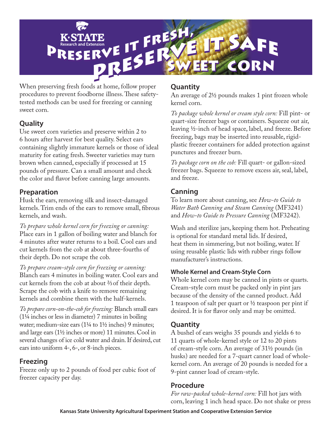

When preserving fresh foods at home, follow proper procedures to prevent foodborne illness. These safetytested methods can be used for freezing or canning sweet corn.

## **Quality**

Use sweet corn varieties and preserve within 2 to 6 hours after harvest for best quality. Select ears containing slightly immature kernels or those of ideal maturity for eating fresh. Sweeter varieties may turn brown when canned, especially if processed at 15 pounds of pressure. Can a small amount and check the color and flavor before canning large amounts.

### **Preparation**

Husk the ears, removing silk and insect-damaged kernels. Trim ends of the ears to remove small, fibrous kernels, and wash.

*To prepare whole kernel corn for freezing or canning:*  Place ears in 1 gallon of boiling water and blanch for 4 minutes after water returns to a boil. Cool ears and cut kernels from the cob at about three-fourths of their depth. Do not scrape the cob.

*To prepare cream-style corn for freezing or canning:* Blanch ears 4 minutes in boiling water. Cool ears and cut kernels from the cob at about 2/3 of their depth. Scrape the cob with a knife to remove remaining kernels and combine them with the half-kernels.

*To prepare corn-on-the-cob for freezing:* Blanch small ears (11/4 inches or less in diameter) 7 minutes in boiling water; medium-size ears  $(1\frac{1}{4}$  to  $1\frac{1}{2}$  inches) 9 minutes; and large ears (11/2 inches or more) 11 minutes. Cool in several changes of ice cold water and drain. If desired, cut ears into uniform 4-, 6-, or 8-inch pieces.

## **Freezing**

Freeze only up to 2 pounds of food per cubic foot of freezer capacity per day.

## **Quantity**

An average of 2<sup>1</sup>/<sub>2</sub> pounds makes 1 pint frozen whole kernel corn.

*To package whole kernel or cream style corn:* Fill pint- or quart-size freezer bags or containers. Squeeze out air, leaving 1/2-inch of head space, label, and freeze. Before freezing, bags may be inserted into reusable, rigidplastic freezer containers for added protection against punctures and freezer burn.

*To package corn on the cob:* Fill quart- or gallon-sized freezer bags. Squeeze to remove excess air, seal, label, and freeze.

# **Canning**

To learn more about canning, see *How-to Guide to Water Bath Canning and Steam Canning* (MF3241) and *How-to Guide to Pressure Canning* (MF3242).

Wash and sterilize jars, keeping them hot. Preheating is optional for standard metal lids. If desired, heat them in simmering, but not boiling, water. If using reusable plastic lids with rubber rings follow manufacturer's instructions.

### **Whole Kernel and Cream-Style Corn**

Whole kernel corn may be canned in pints or quarts. Cream-style corn must be packed only in pint jars because of the density of the canned product. Add 1 teaspoon of salt per quart or  $\frac{1}{2}$  teaspoon per pint if desired. It is for flavor only and may be omitted.

## **Quantity**

A bushel of ears weighs 35 pounds and yields 6 to 11 quarts of whole-kernel style or 12 to 20 pints of cream-style corn. An average of 31½ pounds (in husks) are needed for a 7-quart canner load of wholekernel corn. An average of 20 pounds is needed for a 9-pint canner load of cream-style.

## **Procedure**

*For raw-packed whole-kernel corn:* Fill hot jars with corn, leaving 1 inch head space. Do not shake or press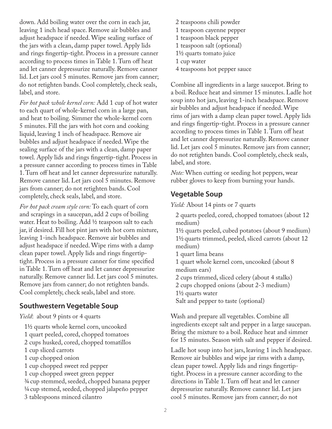down. Add boiling water over the corn in each jar, leaving 1 inch head space. Remove air bubbles and adjust headspace if needed. Wipe sealing surface of the jars with a clean, damp paper towel. Apply lids and rings fingertip-tight. Process in a pressure canner according to process times in Table 1. Turn off heat and let canner depressurize naturally. Remove canner lid. Let jars cool 5 minutes. Remove jars from canner; do not retighten bands. Cool completely, check seals, label, and store.

*For hot pack whole kernel corn:* Add 1 cup of hot water to each quart of whole-kernel corn in a large pan, and heat to boiling. Simmer the whole-kernel corn 5 minutes. Fill the jars with hot corn and cooking liquid, leaving 1 inch of headspace. Remove air bubbles and adjust headspace if needed. Wipe the sealing surface of the jars with a clean, damp paper towel. Apply lids and rings fingertip-tight. Process in a pressure canner according to process times in Table 1. Turn off heat and let canner depressurize naturally. Remove canner lid. Let jars cool 5 minutes. Remove jars from canner; do not retighten bands. Cool completely, check seals, label, and store.

*For hot pack cream style corn:* To each quart of corn and scrapings in a saucepan, add 2 cups of boiling water. Heat to boiling. Add  $\frac{1}{2}$  teaspoon salt to each jar, if desired. Fill hot pint jars with hot corn mixture, leaving 1-inch headspace. Remove air bubbles and adjust headspace if needed. Wipe rims with a damp clean paper towel. Apply lids and rings fingertiptight. Process in a pressure canner for time specified in Table 1. Turn off heat and let canner depressurize naturally. Remove canner lid. Let jars cool 5 minutes. Remove jars from canner; do not retighten bands. Cool completely, check seals, label and store.

#### **Southwestern Vegetable Soup**

*Yield*: about 9 pints or 4 quarts

11/2 quarts whole kernel corn, uncooked 1 quart peeled, cored, chopped tomatoes 2 cups husked, cored, chopped tomatillos 1 cup sliced carrots 1 cup chopped onion 1 cup chopped sweet red pepper 1 cup chopped sweet green pepper 3/4 cup stemmed, seeded, chopped banana pepper 1/4 cup stemed, seeded, chopped jalapeño pepper 3 tablespoons minced cilantro

2 teaspoons chili powder 1 teaspoon cayenne pepper 1 teaspoon black pepper 1 teaspoon salt (optional) 11/2 quarts tomato juice 1 cup water 4 teaspoons hot pepper sauce

Combine all ingredients in a large saucepot. Bring to a boil. Reduce heat and simmer 15 minutes. Ladle hot soup into hot jars, leaving 1-inch headspace. Remove air bubbles and adjust headspace if needed. Wipe rims of jars with a damp clean paper towel. Apply lids and rings fingertip-tight. Process in a pressure canner according to process times in Table 1. Turn off heat and let canner depressurize naturally. Remove canner lid. Let jars cool 5 minutes. Remove jars from canner; do not retighten bands. Cool completely, check seals, label, and store.

*Note:* When cutting or seeding hot peppers, wear rubber gloves to keep from burning your hands.

### **Vegetable Soup**

*Yield:* About 14 pints or 7 quarts

2 quarts peeled, cored, chopped tomatoes (about 12 medium)

11/2 quarts peeled, cubed potatoes (about 9 medium) 11/2 quarts trimmed, peeled, sliced carrots (about 12 medium)

- 1 quart lima beans
- 1 quart whole kernel corn, uncooked (about 8 medium ears)
- 2 cups trimmed, sliced celery (about 4 stalks)
- 2 cups chopped onions (about 2-3 medium)

11/2 quarts water

Salt and pepper to taste (optional)

Wash and prepare all vegetables. Combine all ingredients except salt and pepper in a large saucepan. Bring the mixture to a boil. Reduce heat and simmer for 15 minutes. Season with salt and pepper if desired.

Ladle hot soup into hot jars, leaving 1 inch headspace. Remove air bubbles and wipe jar rims with a damp, clean paper towel. Apply lids and rings fingertiptight. Process in a pressure canner according to the directions in Table 1. Turn off heat and let canner depressurize naturally. Remove canner lid. Let jars cool 5 minutes. Remove jars from canner; do not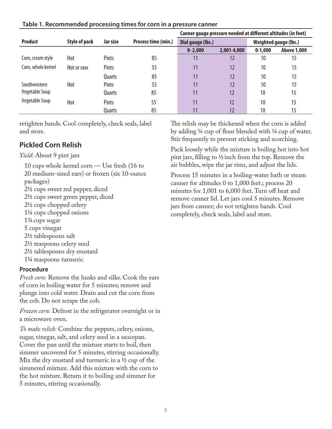|                    |                      |              |                     | Canner gauge pressure needed at different altitudes (in feet) |                       |           |                    |
|--------------------|----------------------|--------------|---------------------|---------------------------------------------------------------|-----------------------|-----------|--------------------|
| <b>Product</b>     | <b>Style of pack</b> | Jar size     | Process time (min.) | Dial gauge (lbs.)                                             | Weighted gauge (lbs.) |           |                    |
|                    |                      |              |                     | $0 - 2,000$                                                   | 2,001-4,000           | $0-1,000$ | <b>Above 1,000</b> |
| Corn, cream style  | Hot                  | Pints        | 85                  |                                                               | 12                    | 10        | 15                 |
| Corn, whole kernel | Hot or raw           | <b>Pints</b> | 55                  |                                                               | 12                    | 10        | 15                 |
|                    |                      | Quarts       | 85                  | 11                                                            | 12                    | 10        | 15                 |
| Southwestern       | Hot                  | Pints        | 55                  |                                                               | 12                    | 10        | 15                 |
| Vegetable Soup     |                      | Quarts       | 85                  | 11                                                            | 12                    | 10        | 15                 |
| Vegetable Soup     | Hot                  | Pints        | 55                  | 11                                                            | 12                    | 10        | 15                 |
|                    |                      | Quarts       | 85                  |                                                               | 12                    | 10        | 15                 |

#### **Table 1. Recommended processing times for corn in a pressure canner**

retighten bands. Cool completely, check seals, label and store.

### **Pickled Corn Relish**

*Yield*: About 9 pint jars

10 cups whole kernel corn — Use fresh (16 to 20 medium-sized ears) or frozen (six 10-ounce packages) 21/2 cups sweet red pepper, diced 21/2 cups sweet green pepper, diced 21/2 cups chopped celery 11/4 cups chopped onions 13/4 cups sugar 5 cups vinegar 21/2 tablespoons salt 21/2 teaspoons celery seed 21/2 tablespoons dry mustard 11/4 teaspoons turmeric

#### **Procedure**

*Fresh corn:* Remove the husks and silks. Cook the ears of corn in boiling water for 5 minutes; remove and plunge into cold water. Drain and cut the corn from the cob. Do not scrape the cob.

*Frozen corn:* Defrost in the refrigerator overnight or in a microwave oven.

*To make relish:* Combine the peppers, celery, onions, sugar, vinegar, salt, and celery seed in a saucepan. Cover the pan until the mixture starts to boil, then simmer uncovered for 5 minutes, stirring occasionally. Mix the dry mustard and turmeric in a  $\frac{1}{2}$  cup of the simmered mixture. Add this mixture with the corn to the hot mixture. Return it to boiling and simmer for 5 minutes, stirring occasionally.

The relish may be thickened when the corn is added by adding 1/4 cup of flour blended with 1/4 cup of water. Stir frequently to prevent sticking and scorching.

Pack loosely while the mixture is boiling hot into hot pint jars, filling to  $\frac{1}{2}$  inch from the top. Remove the air bubbles, wipe the jar rims, and adjust the lids.

Process 15 minutes in a boiling-water bath or steam canner for altitudes 0 to 1,000 feet.; process 20 minutes for 1,001 to 6,000 feet. Turn off heat and remove canner lid. Let jars cool 5 minutes. Remove jars from canner; do not retighten bands. Cool completely, check seals, label and store.